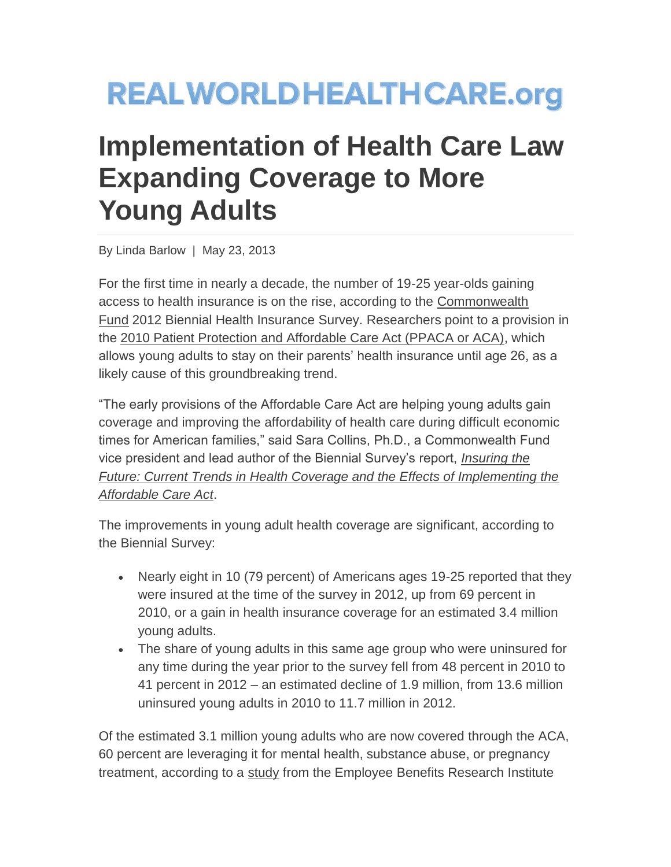## **REALWORLDHEALTHCARE.org**

## **Implementation of Health Care Law Expanding Coverage to More Young Adults**

By Linda Barlow | May 23, 2013

For the first time in nearly a decade, the number of 19-25 year-olds gaining access to health insurance is on the rise, according to the [Commonwealth](http://www.commonwealthfund.org/)  [Fund](http://www.commonwealthfund.org/) 2012 Biennial Health Insurance Survey. Researchers point to a provision in the [2010 Patient Protection and Affordable Care Act \(PPACA or ACA\),](http://www.dol.gov/ebsa/faqs/faq-dependentcoverage.html) which allows young adults to stay on their parents' health insurance until age 26, as a likely cause of this groundbreaking trend.

"The early provisions of the Affordable Care Act are helping young adults gain coverage and improving the affordability of health care during difficult economic times for American families," said Sara Collins, Ph.D., a Commonwealth Fund vice president and lead author of the Biennial Survey's report, *[Insuring the](http://www.commonwealthfund.org/Surveys/2013/Biennial-Health-Insurance-Survey.aspx)  [Future: Current Trends in Health Coverage and the Effects of Implementing the](http://www.commonwealthfund.org/Surveys/2013/Biennial-Health-Insurance-Survey.aspx)  [Affordable Care Act](http://www.commonwealthfund.org/Surveys/2013/Biennial-Health-Insurance-Survey.aspx)*.

The improvements in young adult health coverage are significant, according to the Biennial Survey:

- Nearly eight in 10 (79 percent) of Americans ages 19-25 reported that they were insured at the time of the survey in 2012, up from 69 percent in 2010, or a gain in health insurance coverage for an estimated 3.4 million young adults.
- The share of young adults in this same age group who were uninsured for any time during the year prior to the survey fell from 48 percent in 2010 to 41 percent in 2012 – an estimated decline of 1.9 million, from 13.6 million uninsured young adults in 2010 to 11.7 million in 2012.

Of the estimated 3.1 million young adults who are now covered through the ACA, 60 percent are leveraging it for mental health, substance abuse, or pregnancy treatment, according to a [study](http://www.ebri.org/publications/ib/index.cfm?fa=ibDisp&content_id=5189) from the Employee Benefits Research Institute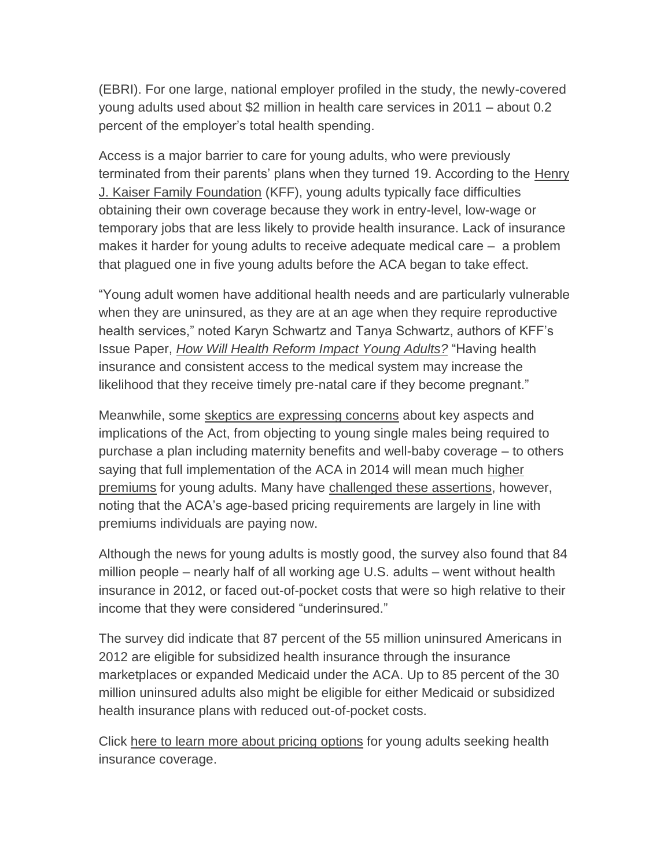(EBRI). For one large, national employer profiled in the study, the newly-covered young adults used about \$2 million in health care services in 2011 – about 0.2 percent of the employer's total health spending.

Access is a major barrier to care for young adults, who were previously terminated from their parents' plans when they turned 19. According to the [Henry](http://www.kff.org/)  [J. Kaiser Family Foundation](http://www.kff.org/) (KFF), young adults typically face difficulties obtaining their own coverage because they work in entry-level, low-wage or temporary jobs that are less likely to provide health insurance. Lack of insurance makes it harder for young adults to receive adequate medical care – a problem that plagued one in five young adults before the ACA began to take effect.

"Young adult women have additional health needs and are particularly vulnerable when they are uninsured, as they are at an age when they require reproductive health services," noted Karyn Schwartz and Tanya Schwartz, authors of KFF's Issue Paper, *[How Will Health Reform Impact Young Adults?](http://kaiserfamilyfoundation.files.wordpress.com/2013/05/7785-03.pdf)* "Having health insurance and consistent access to the medical system may increase the likelihood that they receive timely pre-natal care if they become pregnant."

Meanwhile, some [skeptics are expressing concerns](http://www.psychologytoday.com/blog/curing-the-healthcare-crisis/201302/young-adults-and-the-affordable-care-act) about key aspects and implications of the Act, from objecting to young single males being required to purchase a plan including maternity benefits and well-baby coverage – to others saying that full implementation of the ACA in 2014 will mean much [higher](http://www.washingtonpost.com/blogs/wonkblog/wp/2013/02/11/is-obamacare-bad-for-young-people-lets-ask-them/)  [premiums](http://www.washingtonpost.com/blogs/wonkblog/wp/2013/02/11/is-obamacare-bad-for-young-people-lets-ask-them/) for young adults. Many have [challenged these assertions,](http://www.amednews.com/article/20130429/government/130429944/9/) however, noting that the ACA's age-based pricing requirements are largely in line with premiums individuals are paying now.

Although the news for young adults is mostly good, the survey also found that 84 million people – nearly half of all working age U.S. adults – went without health insurance in 2012, or faced out-of-pocket costs that were so high relative to their income that they were considered "underinsured."

The survey did indicate that 87 percent of the 55 million uninsured Americans in 2012 are eligible for subsidized health insurance through the insurance marketplaces or expanded Medicaid under the ACA. Up to 85 percent of the 30 million uninsured adults also might be eligible for either Medicaid or subsidized health insurance plans with reduced out-of-pocket costs.

Click [here to learn more about pricing](http://finder.healthcare.gov/) options for young adults seeking health insurance coverage.